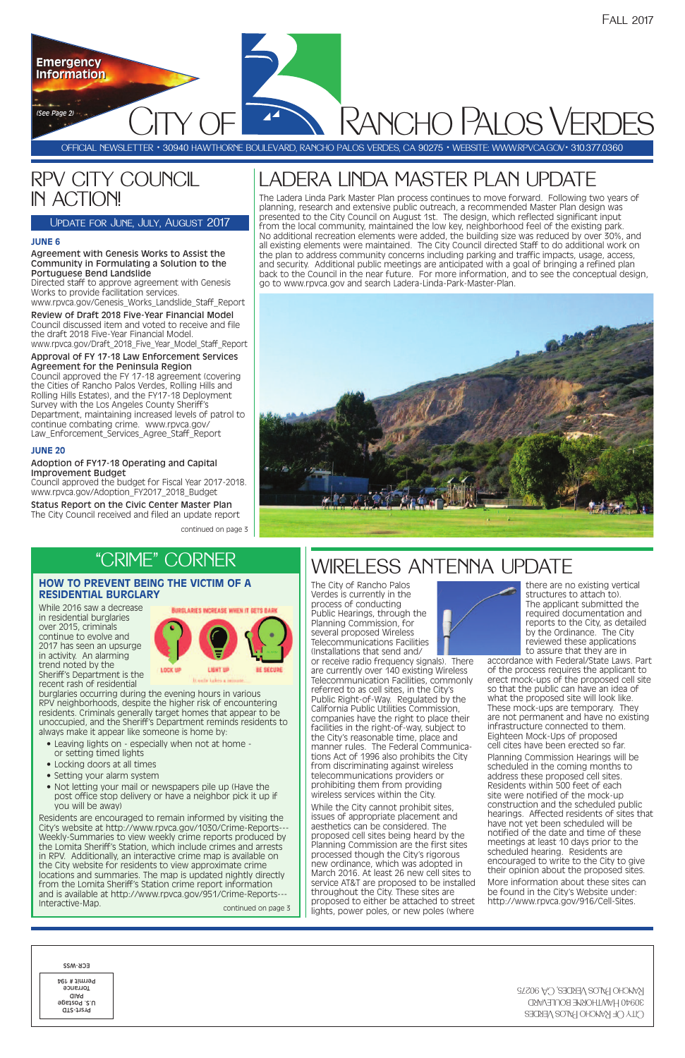# LADERA LINDA MASTER PLAN UPDATE

# WIRELESS ANTENNA UPDATE

# RPV CITY COUNCIL IN ACTION!

### Update for June, July, August 2017

continued on page 3

The City of Rancho Palos Verdes is currently in the process of conducting Public Hearings, through the Planning Commission, for several proposed Wireless Telecommunications Facilities (Installations that send and/

or receive radio frequency signals). There are currently over 140 existing Wireless Telecommunication Facilities, commonly referred to as cell sites, in the City's Public Right-of-Way. Regulated by the California Public Utilities Commission, companies have the right to place their facilities in the right-of-way, subject to the City's reasonable time, place and manner rules. The Federal Communications Act of 1996 also prohibits the City from discriminating against wireless telecommunications providers or prohibiting them from providing wireless services within the City. While the City cannot prohibit sites. issues of appropriate placement and aesthetics can be considered. The proposed cell sites being heard by the Planning Commission are the first sites processed though the City's rigorous new ordinance, which was adopted in March 2016. At least 26 new cell sites to service AT&T are proposed to be installed throughout the City. These sites are proposed to either be attached to street lights, power poles, or new poles (where



there are no existing vertical structures to attach to). The applicant submitted the required documentation and reports to the City, as detailed by the Ordinance. The City reviewed these applications to assure that they are in

accordance with Federal/State Laws. Part of the process requires the applicant to erect mock-ups of the proposed cell site so that the public can have an idea of what the proposed site will look like. These mock-ups are temporary. They are not permanent and have no existing infrastructure connected to them. Eighteen Mock-Ups of proposed cell cites have been erected so far.

Residents are encouraged to remain informed by visiting the City's website at http://www.rpvca.gov/1030/Crime-Reports--- Weekly-Summaries to view weekly crime reports produced by the Lomita Sheriff's Station, which include crimes and arrests in RPV. Additionally, an interactive crime map is available on the City website for residents to view approximate crime locations and summaries. The map is updated nightly directly from the Lomita Sheriff's Station crime report information and is available at http://www.rpvca.gov/951/Crime-Reports--- Interactive-Map. Continued on page 3

| ECK-M22                                                       |
|---------------------------------------------------------------|
| Permit # 194<br>Torrance<br>aiaq<br>U.S. Postage<br>Prsrt-STD |



Planning Commission Hearings will be scheduled in the coming months to address these proposed cell sites Residents within 500 feet of each site were notified of the mock-up construction and the scheduled public hearings. Affected residents of sites that have not yet been scheduled will be notified of the date and time of these meetings at least 10 days prior to the scheduled hearing. Residents are encouraged to write to the City to give their opinion about the proposed sites. More information about these sites can be found in the City's Website under: http://www.rpvca.gov/916/Cell-Sites.

the Cities of Rancho Palos Verdes, Rolling Hills and Rolling Hills Estates), and the FY17-18 Deployment Survey with the Los Angeles County Sheriff's Department, maintaining increased levels of patrol to continue combating crime. www.rpvca.gov/ Law Enforcement Services Agree Staff Report

The Ladera Linda Park Master Plan process continues to move forward. Following two years of planning, research and extensive public outreach, a recommended Master Plan design was presented to the City Council on August 1st. The design, which reflected significant input from the local community, maintained the low key, neighborhood feel of the existing park. No additional recreation elements were added, the building size was reduced by over 30%, and all existing elements were maintained. The City Council directed Staff to do additional work on the plan to address community concerns including parking and traffic impacts, usage, access, and security. Additional public meetings are anticipated with a goal of bringing a refined plan back to the Council in the near future. For more information, and to see the conceptual design, go to www.rpvca.gov and search Ladera-Linda-Park-Master-Plan.



# "CRIME" CORNER

### **HOW TO PREVENT BEING THE VICTIM OF A RESIDENTIAL BURGLARY**

While 2016 saw a decrease in residential burglaries over 2015, criminals continue to evolve and 2017 has seen an upsurge in activity. An alarming trend noted by the Sheriff's Department is the recent rash of residential



burglaries occurring during the evening hours in various RPV neighborhoods, despite the higher risk of encountering residents. Criminals generally target homes that appear to be unoccupied, and the Sheriff's Department reminds residents to always make it appear like someone is home by:

- Leaving lights on especially when not at home or setting timed lights
- Locking doors at all times
- Setting your alarm system
- 
- Not letting your mail or newspapers pile up (Have the post office stop delivery or have a neighbor pick it up if you will be away)

### **JUNE 6**

#### Agreement with Genesis Works to Assist the Community in Formulating a Solution to the Portuguese Bend Landslide

Directed staff to approve agreement with Genesis Works to provide facilitation services.

www.rpvca.gov/Genesis\_Works\_Landslide\_Staff\_Report

Review of Draft 2018 Five-Year Financial Model Council discussed item and voted to receive and file the draft 2018 Five-Year Financial Model. www.rpvca.gov/Draft\_2018\_Five\_Year\_Model\_Staff\_Report

#### Approval of FY 17-18 Law Enforcement Services Agreement for the Peninsula Region Council approved the FY 17-18 agreement (covering

### **JUNE 20**

#### Adoption of FY17-18 Operating and Capital Improvement Budget

Council approved the budget for Fiscal Year 2017-2018. www.rpvca.gov/Adoption\_FY2017\_2018\_Budget

Status Report on the Civic Center Master Plan The City Council received and filed an update report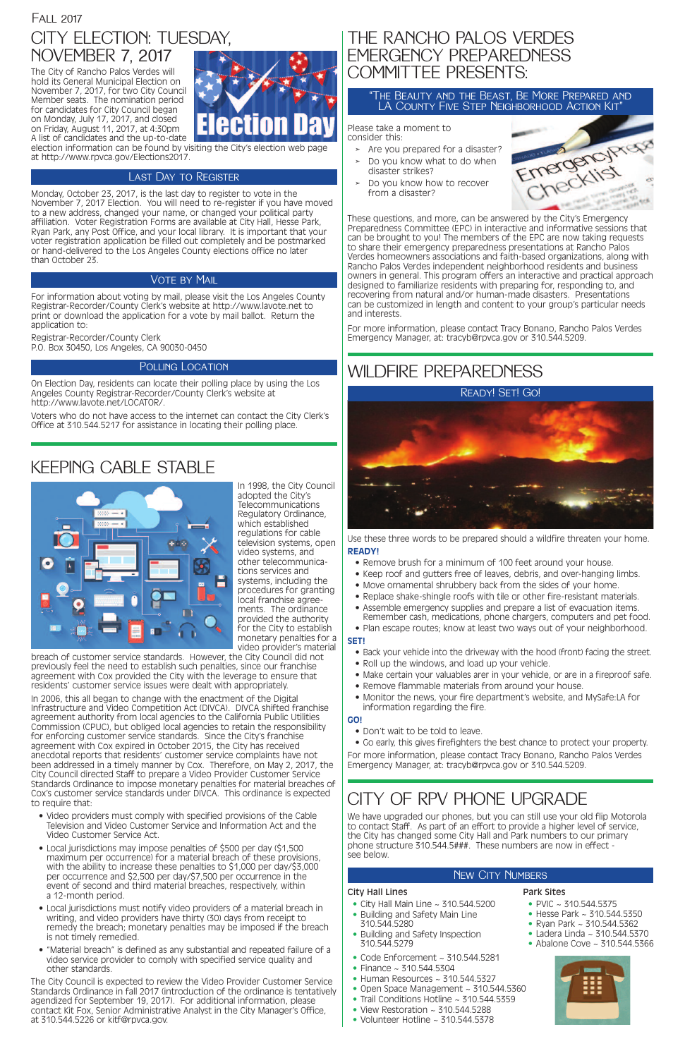# THE RANCHO PALOS VERDES EMERGENCY PREPAREDNESS COMMITTEE PRESENTS:

Please take a moment to consider this:

- **➢** Are you prepared for a disaster?
- **➢** Do you know what to do when disaster strikes?
- **➢** Do you know how to recover from a disaster?



# Fall 2017 CITY ELECTION: TUESDAY, NOVEMBER 7, 2017

These questions, and more, can be answered by the City's Emergency Preparedness Committee (EPC) in interactive and informative sessions that can be brought to you! The members of the EPC are now taking requests to share their emergency preparedness presentations at Rancho Palos Verdes homeowners associations and faith-based organizations, along with Rancho Palos Verdes independent neighborhood residents and business owners in general. This program offers an interactive and practical approach designed to familiarize residents with preparing for, responding to, and recovering from natural and/or human-made disasters. Presentations can be customized in length and content to your group's particular needs and interests.

For more information, please contact Tracy Bonano, Rancho Palos Verdes Emergency Manager, at: tracyb@rpvca.gov or 310.544.5209.

The City of Rancho Palos Verdes will hold its General Municipal Election on November 7, 2017, for two City Council Member seats. The nomination period for candidates for City Council began on Monday, July 17, 2017, and closed on Friday, August 11, 2017, at 4:30pm A list of candidates and the up-to-date



election information can be found by visiting the City's election web page at http://www.rpvca.gov/Elections2017.

### Last Day to Register

Monday, October 23, 2017, is the last day to register to vote in the November 7, 2017 Election. You will need to re-register if you have moved to a new address, changed your name, or changed your political party affiliation. Voter Registration Forms are available at City Hall, Hesse Park, Ryan Park, any Post Office, and your local library. It is important that your voter registration application be filled out completely and be postmarked or hand-delivered to the Los Angeles County elections office no later than October 23.

### **VOTE BY MAIL**

For information about voting by mail, please visit the Los Angeles County Registrar-Recorder/County Clerk's website at http://www.lavote.net to print or download the application for a vote by mail ballot. Return the application to:

Registrar-Recorder/County Clerk P.O. Box 30450, Los Angeles, CA 90030-0450

### POLLING LOCATION

On Election Day, residents can locate their polling place by using the Los Angeles County Registrar-Recorder/County Clerk's website at http://www.lavote.net/LOCATOR/.

Voters who do not have access to the internet can contact the City Clerk's Office at 310.544.5217 for assistance in locating their polling place.

# CITY OF RPV PHONE UPGRADE

We have upgraded our phones, but you can still use your old flip Motorola to contact Staff. As part of an effort to provide a higher level of service, the City has changed some City Hall and Park numbers to our primary phone structure 310.544.5###. These numbers are now in effect see below.

### New CITY NUMBERS

# KEEPING CABLE STABLE



- City Hall Main Line ~ 310.544.5200
- Building and Safety Main Line 310.544.5280
- Building and Safety Inspection 310.544.5279
- Code Enforcement  $\sim$  310.544.5281
- Finance ~ 310.544.5304
- Human Resources ~ 310.544.5327
- Open Space Management ~ 310.544.5360
- Trail Conditions Hotline ~ 310.544.5359
- View Restoration  $\sim$  310.544.5288
- Volunteer Hotline ~ 310.544.5378
- PVIC  $\sim$  310.544.5375
- Hesse Park ~ 310.544.5350
- Ryan Park ~ 310.544.5362
- Ladera Linda ~ 310.544.5370
- Abalone Cove ~ 310.544.5366



In 1998, the City Council adopted the City's Telecommunications Regulatory Ordinance, which established regulations for cable television systems, open video systems, and other telecommunications services and systems, including the procedures for granting local franchise agreements. The ordinance provided the authority for the City to establish monetary penalties for a video provider's material

breach of customer service standards. However, the City Council did not previously feel the need to establish such penalties, since our franchise agreement with Cox provided the City with the leverage to ensure that residents' customer service issues were dealt with appropriately.

In 2006, this all began to change with the enactment of the Digital Infrastructure and Video Competition Act (DIVCA). DIVCA shifted franchise agreement authority from local agencies to the California Public Utilities Commission (CPUC), but obliged local agencies to retain the responsibility for enforcing customer service standards. Since the City's franchise agreement with Cox expired in October 2015, the City has received anecdotal reports that residents' customer service complaints have not been addressed in a timely manner by Cox. Therefore, on May 2, 2017, the City Council directed Staff to prepare a Video Provider Customer Service Standards Ordinance to impose monetary penalties for material breaches of Cox's customer service standards under DIVCA. This ordinance is expected to require that:

- Video providers must comply with specified provisions of the Cable Television and Video Customer Service and Information Act and the Video Customer Service Act.
- Local jurisdictions may impose penalties of \$500 per day (\$1,500 maximum per occurrence) for a material breach of these provisions, with the ability to increase these penalties to \$1,000 per day/\$3,000 per occurrence and \$2,500 per day/\$7,500 per occurrence in the event of second and third material breaches, respectively, within a 12-month period.
- Local jurisdictions must notify video providers of a material breach in writing, and video providers have thirty (30) days from receipt to remedy the breach; monetary penalties may be imposed if the breach is not timely remedied.
- "Material breach" is defined as any substantial and repeated failure of a video service provider to comply with specified service quality and other standards.

The City Council is expected to review the Video Provider Customer Service Standards Ordinance in fall 2017 (introduction of the ordinance is tentatively agendized for September 19, 2017). For additional information, please contact Kit Fox, Senior Administrative Analyst in the City Manager's Office, at 310.544.5226 or kitf@rpvca.gov.

#### City Hall Lines

#### Park Sites

# WILDFIRE PREPAREDNESS

Use these three words to be prepared should a wildfire threaten your home. **READY!**

- Remove brush for a minimum of 100 feet around your house.
- Keep roof and gutters free of leaves, debris, and over-hanging limbs.
- Move ornamental shrubbery back from the sides of your home.
- Replace shake-shingle roofs with tile or other fire-resistant materials.
- Assemble emergency supplies and prepare a list of evacuation items. Remember cash, medications, phone chargers, computers and pet food.
- Plan escape routes; know at least two ways out of your neighborhood. **SET!**
	- Back your vehicle into the driveway with the hood (front) facing the street.
	- Roll up the windows, and load up your vehicle.
	- Make certain your valuables arer in your vehicle, or are in a fireproof safe.
	- Remove flammable materials from around your house.
	- Monitor the news, your fire department's website, and MySafe:LA for information regarding the fire.

### **GO!**

• Don't wait to be told to leave.

• Go early, this gives firefighters the best chance to protect your property. For more information, please contact Tracy Bonano, Rancho Palos Verdes Emergency Manager, at: tracyb@rpvca.gov or 310.544.5209.

Ready! Set! Go!



### "The Beauty and the Beast, Be More Prepared and LA County Five Step Neighborhood Action Kit"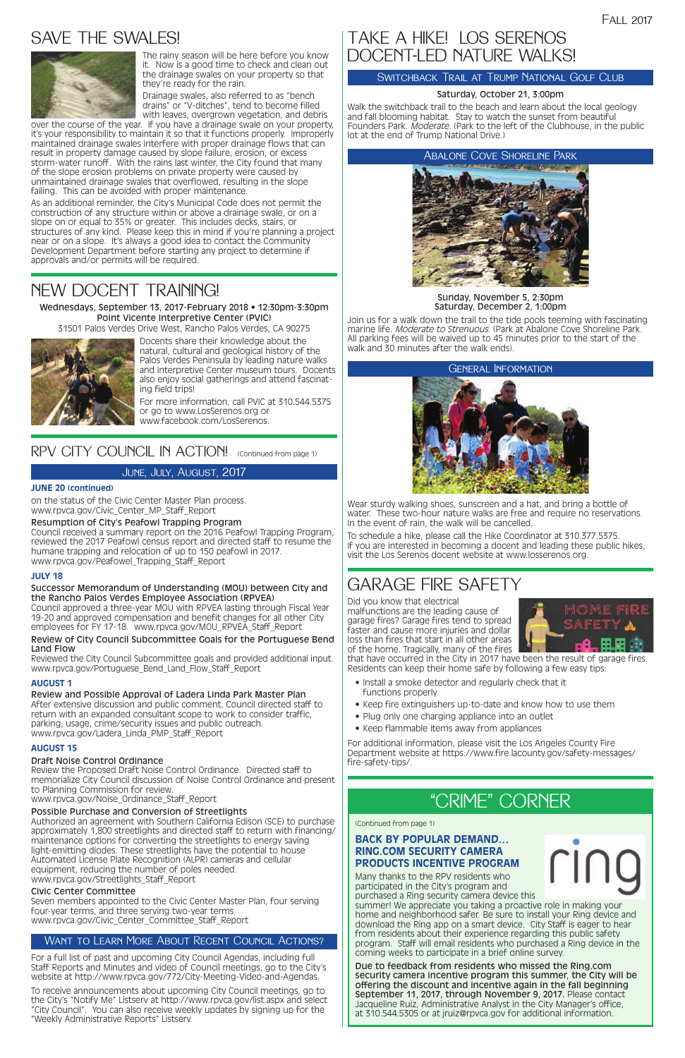# SAVE THE SWALES!



### June, July, August, 2017

### Want to Learn More About Recent Council Actions?

For a full list of past and upcoming City Council Agendas, including full Staff Reports and Minutes and video of Council meetings, go to the City's website at http://www.rpvca.gov/772/City-Meeting-Video-and-Agendas.

To receive announcements about upcoming City Council meetings, go to the City's "Notify Me" Listserv at http://www.rpvca.gov/list.aspx and select "City Council". You can also receive weekly updates by signing up for the "Weekly Administrative Reports" Listserv.



Sunday, November 5, 2:30pm Saturday, December 2, 1:00pm

Join us for a walk down the trail to the tide pools teeming with fascinating marine life. Moderate to Strenuous. (Park at Abalone Cove Shoreline Park. All parking fees will be waived up to 45 minutes prior to the start of the walk and 30 minutes after the walk ends).

# TAKE A HIKE! LOS SERENOS DOCENT-LED NATURE WALKS!

### SWITCHBACK TRAIL AT TRUMP NATIONAL GOLF CLUB

### Saturday, October 21, 3:00pm

Walk the switchback trail to the beach and learn about the local geology and fall blooming habitat. Stay to watch the sunset from beautiful Founders Park. Moderate. (Park to the left of the Clubhouse, in the public lot at the end of Trump National Drive.)

### Abalone Cove Shoreline Park

Wear sturdy walking shoes, sunscreen and a hat, and bring a bottle of water. These two-hour nature walks are free and require no reservations. In the event of rain, the walk will be cancelled.

To schedule a hike, please call the Hike Coordinator at 310.377.5375. If you are interested in becoming a docent and leading these public hikes, visit the Los Serenos docent website at www.losserenos.org.

#### General Information



Wednesdays, September 13, 2017-February 2018 • 12:30pm-3:30pm Point Vicente Interpretive Center (PVIC)

31501 Palos Verdes Drive West, Rancho Palos Verdes, CA 90275



Docents share their knowledge about the natural, cultural and geological history of the Palos Verdes Peninsula by leading nature walks and Interpretive Center museum tours. Docents also enjoy social gatherings and attend fascinating field trips!

Seven members appointed to the Civic Center Master Plan, four serving four-year terms, and three serving two-year terms. www.rpvca.gov/Civic\_Center\_Committee\_Staff\_Report

For more information, call PVIC at 310.544.5375 or go to www.LosSerenos.org or www.facebook.com/LosSerenos.

## RPV CITY COUNCIL IN ACTION! (Continued from page 1)

# NEW DOCENT TRAINING!

#### **JUNE 20 (continued)**

on the status of the Civic Center Master Plan process. www.rpvca.gov/Civic\_Center\_MP\_Staff\_Report

#### Resumption of City's Peafowl Trapping Program

Council received a summary report on the 2016 Peafowl Trapping Program, reviewed the 2017 Peafowl census report and directed staff to resume the humane trapping and relocation of up to 150 peafowl in 2017. www.rpvca.gov/Peafowel\_Trapping\_Staff\_Report

#### **JULY 18**

#### Successor Memorandum of Understanding (MOU) between City and the Rancho Palos Verdes Employee Association (RPVEA)

Council approved a three-year MOU with RPVEA lasting through Fiscal Year 19-20 and approved compensation and benefit changes for all other City employees for FY 17-18. www.rpvca.gov/MOU\_RPVEA\_Staff\_Report

#### Review of City Council Subcommittee Goals for the Portuguese Bend Land Flow

Reviewed the City Council Subcommittee goals and provided additional input. www.rpvca.gov/Portuguese\_Bend\_Land\_Flow\_Staff\_Report

#### **AUGUST 1**

Review and Possible Approval of Ladera Linda Park Master Plan After extensive discussion and public comment, Council directed staff to return with an expanded consultant scope to work to consider traffic, parking, usage, crime/security issues and public outreach. www.rpvca.gov/Ladera\_Linda\_PMP\_Staff\_Report

### **AUGUST 15**

### Draft Noise Control Ordinance

Review the Proposed Draft Noise Control Ordinance. Directed staff to memorialize City Council discussion of Noise Control Ordinance and present to Planning Commission for review. www.rpvca.gov/Noise\_Ordinance\_Staff\_Report

#### Possible Purchase and Conversion of Streetlights

Authorized an agreement with Southern California Edison (SCE) to purchase approximately 1,800 streetlights and directed staff to return with financing/ maintenance options for converting the streetlights to energy saving light-emitting diodes. These streetlights have the potential to house Automated License Plate Recognition (ALPR) cameras and cellular equipment, reducing the number of poles needed. www.rpvca.gov/Streetlights\_Staff\_Report

#### Civic Center Committee

The rainy season will be here before you know it. Now is a good time to check and clean out the drainage swales on your property so that they're ready for the rain.

Drainage swales, also referred to as "bench drains" or "V-ditches", tend to become filled with leaves, overgrown vegetation, and debris

over the course of the year. If you have a drainage swale on your property, it's your responsibility to maintain it so that it functions properly. Improperly maintained drainage swales interfere with proper drainage flows that can result in property damage caused by slope failure, erosion, or excess storm-water runoff. With the rains last winter, the City found that many of the slope erosion problems on private property were caused by unmaintained drainage swales that overflowed, resulting in the slope failing. This can be avoided with proper maintenance.

As an additional reminder, the City's Municipal Code does not permit the construction of any structure within or above a drainage swale, or on a slope on or equal to 35% or greater. This includes decks, stairs, or structures of any kind. Please keep this in mind if you're planning a project near or on a slope. It's always a good idea to contact the Community Development Department before starting any project to determine if approvals and/or permits will be required.

# "CRIME" CORNER

### **BACK BY POPULAR DEMAND… RING.COM SECURITY CAMERA PRODUCTS INCENTIVE PROGRAM**

Many thanks to the RPV residents who participated in the City's program and purchased a Ring security camera device this

summer! We appreciate you taking a proactive role in making your home and neighborhood safer. Be sure to install your Ring device and download the Ring app on a smart device. City Staff is eager to hear from residents about their experience regarding this public safety program. Staff will email residents who purchased a Ring device in the coming weeks to participate in a brief online survey.

Due to feedback from residents who missed the Ring.com security camera incentive program this summer, the City will be offering the discount and incentive again in the fall beginning September 11, 2017, through November 9, 2017. Please contact Jacqueline Ruiz, Administrative Analyst in the City Manager's office, at 310.544.5305 or at jruiz@rpvca.gov for additional information.

Did you know that electrical malfunctions are the leading cause of garage fires? Garage fires tend to spread faster and cause more injuries and dollar loss than fires that start in all other areas of the home. Tragically, many of the fires



that have occurred in the City in 2017 have been the result of garage fires. Residents can keep their home safe by following a few easy tips:

- Install a smoke detector and regularly check that it functions properly
- Keep fire extinguishers up-to-date and know how to use them
- Plug only one charging appliance into an outlet
- Keep flammable items away from appliances

For additional information, please visit the Los Angeles County Fire Department website at https://www.fire.lacounty.gov/safety-messages/ fire-safety-tips/.

(Continued from page 1)

# GARAGE FIRE SAFETY